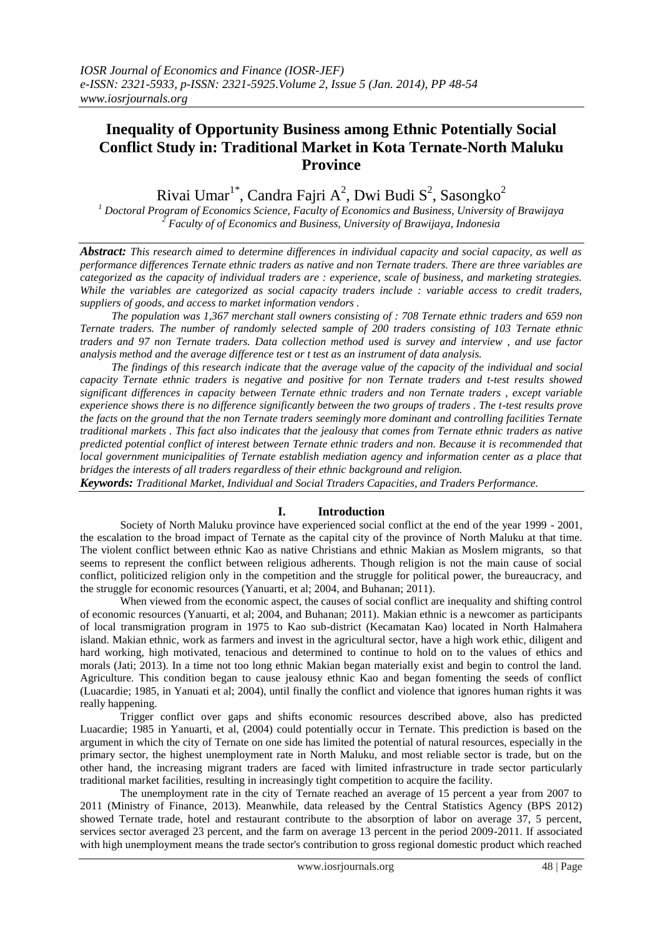# **Inequality of Opportunity Business among Ethnic Potentially Social Conflict Study in: Traditional Market in Kota Ternate-North Maluku Province**

Rivai Umar $1^*$ , Candra Fajri A<sup>2</sup>, Dwi Budi S<sup>2</sup>, Sasongko<sup>2</sup>

*<sup>1</sup> Doctoral Program of Economics Science, Faculty of Economics and Business, University of Brawijaya <sup>2</sup> Faculty of of Economics and Business, University of Brawijaya, Indonesia*

*Abstract: This research aimed to determine differences in individual capacity and social capacity, as well as performance differences Ternate ethnic traders as native and non Ternate traders. There are three variables are categorized as the capacity of individual traders are : experience, scale of business, and marketing strategies. While the variables are categorized as social capacity traders include : variable access to credit traders, suppliers of goods, and access to market information vendors .*

*The population was 1,367 merchant stall owners consisting of : 708 Ternate ethnic traders and 659 non Ternate traders. The number of randomly selected sample of 200 traders consisting of 103 Ternate ethnic traders and 97 non Ternate traders. Data collection method used is survey and interview , and use factor analysis method and the average difference test or t test as an instrument of data analysis.*

*The findings of this research indicate that the average value of the capacity of the individual and social capacity Ternate ethnic traders is negative and positive for non Ternate traders and t-test results showed significant differences in capacity between Ternate ethnic traders and non Ternate traders , except variable experience shows there is no difference significantly between the two groups of traders . The t-test results prove the facts on the ground that the non Ternate traders seemingly more dominant and controlling facilities Ternate traditional markets . This fact also indicates that the jealousy that comes from Ternate ethnic traders as native predicted potential conflict of interest between Ternate ethnic traders and non. Because it is recommended that local government municipalities of Ternate establish mediation agency and information center as a place that bridges the interests of all traders regardless of their ethnic background and religion.*

*Keywords: Traditional Market, Individual and Social Ttraders Capacities, and Traders Performance.* 

### **I. Introduction**

Society of North Maluku province have experienced social conflict at the end of the year 1999 - 2001, the escalation to the broad impact of Ternate as the capital city of the province of North Maluku at that time. The violent conflict between ethnic Kao as native Christians and ethnic Makian as Moslem migrants, so that seems to represent the conflict between religious adherents. Though religion is not the main cause of social conflict, politicized religion only in the competition and the struggle for political power, the bureaucracy, and the struggle for economic resources (Yanuarti, et al; 2004, and Buhanan; 2011).

When viewed from the economic aspect, the causes of social conflict are inequality and shifting control of economic resources (Yanuarti, et al; 2004, and Buhanan; 2011). Makian ethnic is a newcomer as participants of local transmigration program in 1975 to Kao sub-district (Kecamatan Kao) located in North Halmahera island. Makian ethnic, work as farmers and invest in the agricultural sector, have a high work ethic, diligent and hard working, high motivated, tenacious and determined to continue to hold on to the values of ethics and morals (Jati; 2013). In a time not too long ethnic Makian began materially exist and begin to control the land. Agriculture. This condition began to cause jealousy ethnic Kao and began fomenting the seeds of conflict (Luacardie; 1985, in Yanuati et al; 2004), until finally the conflict and violence that ignores human rights it was really happening.

Trigger conflict over gaps and shifts economic resources described above, also has predicted Luacardie; 1985 in Yanuarti, et al, (2004) could potentially occur in Ternate. This prediction is based on the argument in which the city of Ternate on one side has limited the potential of natural resources, especially in the primary sector, the highest unemployment rate in North Maluku, and most reliable sector is trade, but on the other hand, the increasing migrant traders are faced with limited infrastructure in trade sector particularly traditional market facilities, resulting in increasingly tight competition to acquire the facility.

The unemployment rate in the city of Ternate reached an average of 15 percent a year from 2007 to 2011 (Ministry of Finance, 2013). Meanwhile, data released by the Central Statistics Agency (BPS 2012) showed Ternate trade, hotel and restaurant contribute to the absorption of labor on average 37, 5 percent, services sector averaged 23 percent, and the farm on average 13 percent in the period 2009-2011. If associated with high unemployment means the trade sector's contribution to gross regional domestic product which reached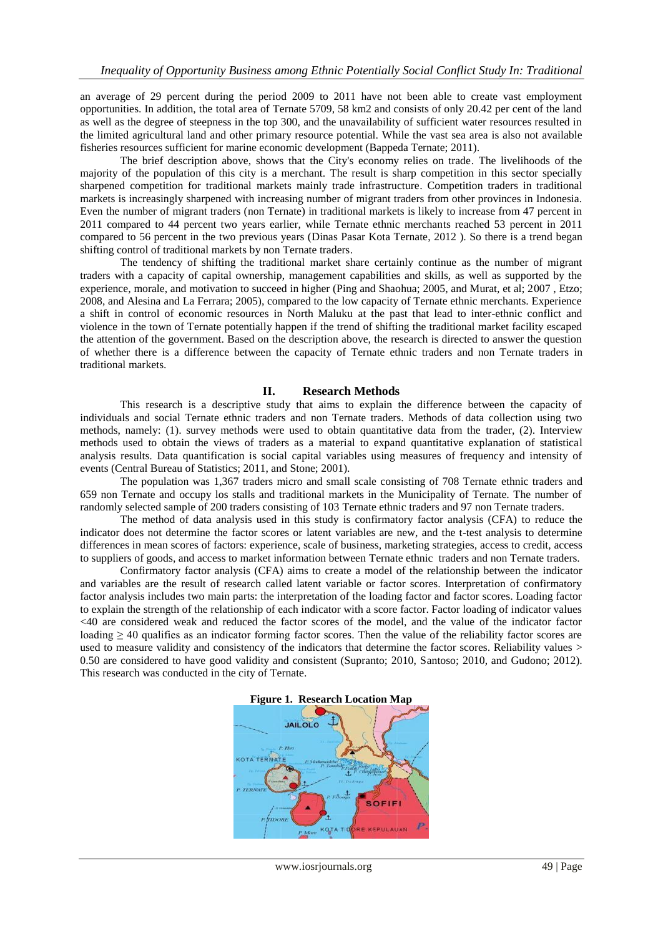an average of 29 percent during the period 2009 to 2011 have not been able to create vast employment opportunities. In addition, the total area of Ternate 5709, 58 km2 and consists of only 20.42 per cent of the land as well as the degree of steepness in the top 300, and the unavailability of sufficient water resources resulted in the limited agricultural land and other primary resource potential. While the vast sea area is also not available fisheries resources sufficient for marine economic development (Bappeda Ternate; 2011).

The brief description above, shows that the City's economy relies on trade. The livelihoods of the majority of the population of this city is a merchant. The result is sharp competition in this sector specially sharpened competition for traditional markets mainly trade infrastructure. Competition traders in traditional markets is increasingly sharpened with increasing number of migrant traders from other provinces in Indonesia. Even the number of migrant traders (non Ternate) in traditional markets is likely to increase from 47 percent in 2011 compared to 44 percent two years earlier, while Ternate ethnic merchants reached 53 percent in 2011 compared to 56 percent in the two previous years (Dinas Pasar Kota Ternate, 2012 ). So there is a trend began shifting control of traditional markets by non Ternate traders.

The tendency of shifting the traditional market share certainly continue as the number of migrant traders with a capacity of capital ownership, management capabilities and skills, as well as supported by the experience, morale, and motivation to succeed in higher (Ping and Shaohua; 2005, and Murat, et al; 2007 , Etzo; 2008, and Alesina and La Ferrara; 2005), compared to the low capacity of Ternate ethnic merchants. Experience a shift in control of economic resources in North Maluku at the past that lead to inter-ethnic conflict and violence in the town of Ternate potentially happen if the trend of shifting the traditional market facility escaped the attention of the government. Based on the description above, the research is directed to answer the question of whether there is a difference between the capacity of Ternate ethnic traders and non Ternate traders in traditional markets.

#### **II. Research Methods**

This research is a descriptive study that aims to explain the difference between the capacity of individuals and social Ternate ethnic traders and non Ternate traders. Methods of data collection using two methods, namely: (1). survey methods were used to obtain quantitative data from the trader, (2). Interview methods used to obtain the views of traders as a material to expand quantitative explanation of statistical analysis results. Data quantification is social capital variables using measures of frequency and intensity of events (Central Bureau of Statistics; 2011, and Stone; 2001).

The population was 1,367 traders micro and small scale consisting of 708 Ternate ethnic traders and 659 non Ternate and occupy los stalls and traditional markets in the Municipality of Ternate. The number of randomly selected sample of 200 traders consisting of 103 Ternate ethnic traders and 97 non Ternate traders.

The method of data analysis used in this study is confirmatory factor analysis (CFA) to reduce the indicator does not determine the factor scores or latent variables are new, and the t-test analysis to determine differences in mean scores of factors: experience, scale of business, marketing strategies, access to credit, access to suppliers of goods, and access to market information between Ternate ethnic traders and non Ternate traders.

Confirmatory factor analysis (CFA) aims to create a model of the relationship between the indicator and variables are the result of research called latent variable or factor scores. Interpretation of confirmatory factor analysis includes two main parts: the interpretation of the loading factor and factor scores. Loading factor to explain the strength of the relationship of each indicator with a score factor. Factor loading of indicator values <40 are considered weak and reduced the factor scores of the model, and the value of the indicator factor loading ≥ 40 qualifies as an indicator forming factor scores. Then the value of the reliability factor scores are used to measure validity and consistency of the indicators that determine the factor scores. Reliability values > 0.50 are considered to have good validity and consistent (Supranto; 2010, Santoso; 2010, and Gudono; 2012). This research was conducted in the city of Ternate.

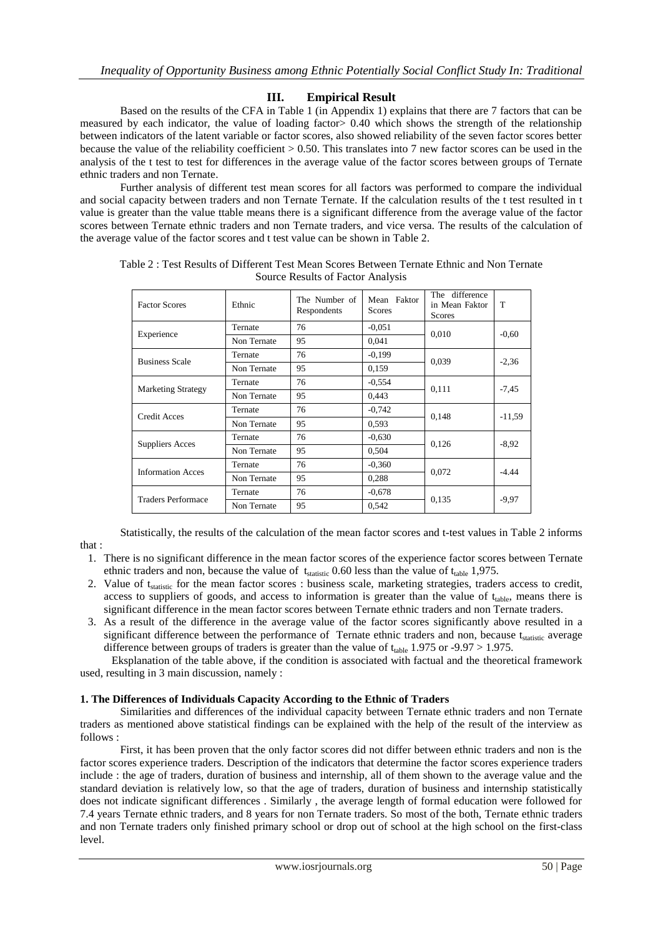# **III. Empirical Result**

Based on the results of the CFA in Table 1 (in Appendix 1) explains that there are 7 factors that can be measured by each indicator, the value of loading factor> 0.40 which shows the strength of the relationship between indicators of the latent variable or factor scores, also showed reliability of the seven factor scores better because the value of the reliability coefficient > 0.50. This translates into 7 new factor scores can be used in the analysis of the t test to test for differences in the average value of the factor scores between groups of Ternate ethnic traders and non Ternate.

Further analysis of different test mean scores for all factors was performed to compare the individual and social capacity between traders and non Ternate Ternate. If the calculation results of the t test resulted in t value is greater than the value ttable means there is a significant difference from the average value of the factor scores between Ternate ethnic traders and non Ternate traders, and vice versa. The results of the calculation of the average value of the factor scores and t test value can be shown in Table 2.

| <b>Factor Scores</b>      | Ethnic      | The Number of<br>Respondents | Mean Faktor<br>Scores | The difference<br>in Mean Faktor<br><b>Scores</b> | T        |
|---------------------------|-------------|------------------------------|-----------------------|---------------------------------------------------|----------|
| Experience                | Ternate     | 76                           | $-0.051$              |                                                   | $-0.60$  |
|                           | Non Ternate | 95                           | 0,041                 | 0,010                                             |          |
| <b>Business Scale</b>     | Ternate     | 76                           | $-0.199$              |                                                   | $-2,36$  |
|                           | Non Ternate | 95                           | 0,159                 | 0,039                                             |          |
| <b>Marketing Strategy</b> | Ternate     | 76                           | $-0.554$              |                                                   | $-7,45$  |
|                           | Non Ternate | 95                           | 0,443                 | 0,111                                             |          |
| Credit Acces              | Ternate     | 76                           | $-0,742$              |                                                   | $-11,59$ |
|                           | Non Ternate | 95                           | 0.593                 | 0,148                                             |          |
| <b>Suppliers Acces</b>    | Ternate     | 76                           | $-0.630$              |                                                   | $-8,92$  |
|                           | Non Ternate | 95                           | 0,504                 | 0,126                                             |          |
| <b>Information Acces</b>  | Ternate     | 76                           | $-0.360$              |                                                   | $-4.44$  |
|                           | Non Ternate | 95                           | 0,288                 | 0,072                                             |          |
| <b>Traders Performace</b> | Ternate     | 76                           | $-0.678$              |                                                   | $-9.97$  |
|                           | Non Ternate | 95                           | 0,542                 | 0,135                                             |          |

Table 2 : Test Results of Different Test Mean Scores Between Ternate Ethnic and Non Ternate Source Results of Factor Analysis

Statistically, the results of the calculation of the mean factor scores and t-test values in Table 2 informs

- 1. There is no significant difference in the mean factor scores of the experience factor scores between Ternate ethnic traders and non, because the value of  $t_{statistic}$  0.60 less than the value of  $t_{table}$  1,975.
- 2. Value of t<sub>statistic</sub> for the mean factor scores : business scale, marketing strategies, traders access to credit, access to suppliers of goods, and access to information is greater than the value of  $t_{table}$ , means there is significant difference in the mean factor scores between Ternate ethnic traders and non Ternate traders.
- 3. As a result of the difference in the average value of the factor scores significantly above resulted in a significant difference between the performance of Ternate ethnic traders and non, because tstatistic average difference between groups of traders is greater than the value of  $t_{table}$  1.975 or -9.97 > 1.975.

Eksplanation of the table above, if the condition is associated with factual and the theoretical framework used, resulting in 3 main discussion, namely :

### **1. The Differences of Individuals Capacity According to the Ethnic of Traders**

that :

Similarities and differences of the individual capacity between Ternate ethnic traders and non Ternate traders as mentioned above statistical findings can be explained with the help of the result of the interview as follows :

First, it has been proven that the only factor scores did not differ between ethnic traders and non is the factor scores experience traders. Description of the indicators that determine the factor scores experience traders include : the age of traders, duration of business and internship, all of them shown to the average value and the standard deviation is relatively low, so that the age of traders, duration of business and internship statistically does not indicate significant differences . Similarly , the average length of formal education were followed for 7.4 years Ternate ethnic traders, and 8 years for non Ternate traders. So most of the both, Ternate ethnic traders and non Ternate traders only finished primary school or drop out of school at the high school on the first-class level.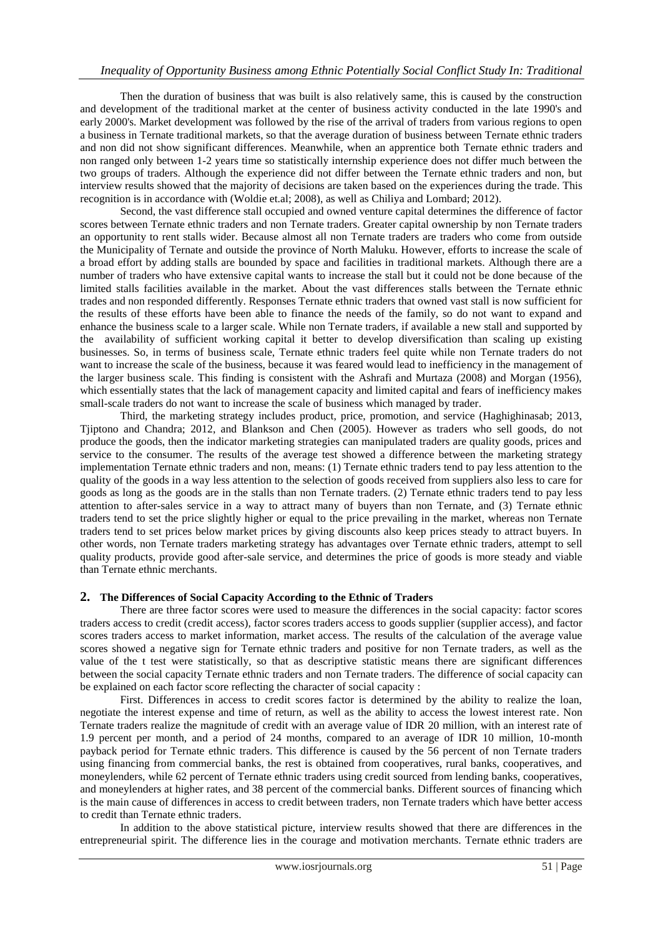# *Inequality of Opportunity Business among Ethnic Potentially Social Conflict Study In: Traditional*

Then the duration of business that was built is also relatively same, this is caused by the construction and development of the traditional market at the center of business activity conducted in the late 1990's and early 2000's. Market development was followed by the rise of the arrival of traders from various regions to open a business in Ternate traditional markets, so that the average duration of business between Ternate ethnic traders and non did not show significant differences. Meanwhile, when an apprentice both Ternate ethnic traders and non ranged only between 1-2 years time so statistically internship experience does not differ much between the two groups of traders. Although the experience did not differ between the Ternate ethnic traders and non, but interview results showed that the majority of decisions are taken based on the experiences during the trade. This recognition is in accordance with (Woldie et.al; 2008), as well as Chiliya and Lombard; 2012).

Second, the vast difference stall occupied and owned venture capital determines the difference of factor scores between Ternate ethnic traders and non Ternate traders. Greater capital ownership by non Ternate traders an opportunity to rent stalls wider. Because almost all non Ternate traders are traders who come from outside the Municipality of Ternate and outside the province of North Maluku. However, efforts to increase the scale of a broad effort by adding stalls are bounded by space and facilities in traditional markets. Although there are a number of traders who have extensive capital wants to increase the stall but it could not be done because of the limited stalls facilities available in the market. About the vast differences stalls between the Ternate ethnic trades and non responded differently. Responses Ternate ethnic traders that owned vast stall is now sufficient for the results of these efforts have been able to finance the needs of the family, so do not want to expand and enhance the business scale to a larger scale. While non Ternate traders, if available a new stall and supported by the availability of sufficient working capital it better to develop diversification than scaling up existing businesses. So, in terms of business scale, Ternate ethnic traders feel quite while non Ternate traders do not want to increase the scale of the business, because it was feared would lead to inefficiency in the management of the larger business scale. This finding is consistent with the Ashrafi and Murtaza (2008) and Morgan (1956), which essentially states that the lack of management capacity and limited capital and fears of inefficiency makes small-scale traders do not want to increase the scale of business which managed by trader.

Third, the marketing strategy includes product, price, promotion, and service (Haghighinasab; 2013, Tjiptono and Chandra; 2012, and Blankson and Chen (2005). However as traders who sell goods, do not produce the goods, then the indicator marketing strategies can manipulated traders are quality goods, prices and service to the consumer. The results of the average test showed a difference between the marketing strategy implementation Ternate ethnic traders and non, means: (1) Ternate ethnic traders tend to pay less attention to the quality of the goods in a way less attention to the selection of goods received from suppliers also less to care for goods as long as the goods are in the stalls than non Ternate traders. (2) Ternate ethnic traders tend to pay less attention to after-sales service in a way to attract many of buyers than non Ternate, and (3) Ternate ethnic traders tend to set the price slightly higher or equal to the price prevailing in the market, whereas non Ternate traders tend to set prices below market prices by giving discounts also keep prices steady to attract buyers. In other words, non Ternate traders marketing strategy has advantages over Ternate ethnic traders, attempt to sell quality products, provide good after-sale service, and determines the price of goods is more steady and viable than Ternate ethnic merchants.

#### **2. The Differences of Social Capacity According to the Ethnic of Traders**

There are three factor scores were used to measure the differences in the social capacity: factor scores traders access to credit (credit access), factor scores traders access to goods supplier (supplier access), and factor scores traders access to market information, market access. The results of the calculation of the average value scores showed a negative sign for Ternate ethnic traders and positive for non Ternate traders, as well as the value of the t test were statistically, so that as descriptive statistic means there are significant differences between the social capacity Ternate ethnic traders and non Ternate traders. The difference of social capacity can be explained on each factor score reflecting the character of social capacity :

First. Differences in access to credit scores factor is determined by the ability to realize the loan, negotiate the interest expense and time of return, as well as the ability to access the lowest interest rate. Non Ternate traders realize the magnitude of credit with an average value of IDR 20 million, with an interest rate of 1.9 percent per month, and a period of 24 months, compared to an average of IDR 10 million, 10-month payback period for Ternate ethnic traders. This difference is caused by the 56 percent of non Ternate traders using financing from commercial banks, the rest is obtained from cooperatives, rural banks, cooperatives, and moneylenders, while 62 percent of Ternate ethnic traders using credit sourced from lending banks, cooperatives, and moneylenders at higher rates, and 38 percent of the commercial banks. Different sources of financing which is the main cause of differences in access to credit between traders, non Ternate traders which have better access to credit than Ternate ethnic traders.

In addition to the above statistical picture, interview results showed that there are differences in the entrepreneurial spirit. The difference lies in the courage and motivation merchants. Ternate ethnic traders are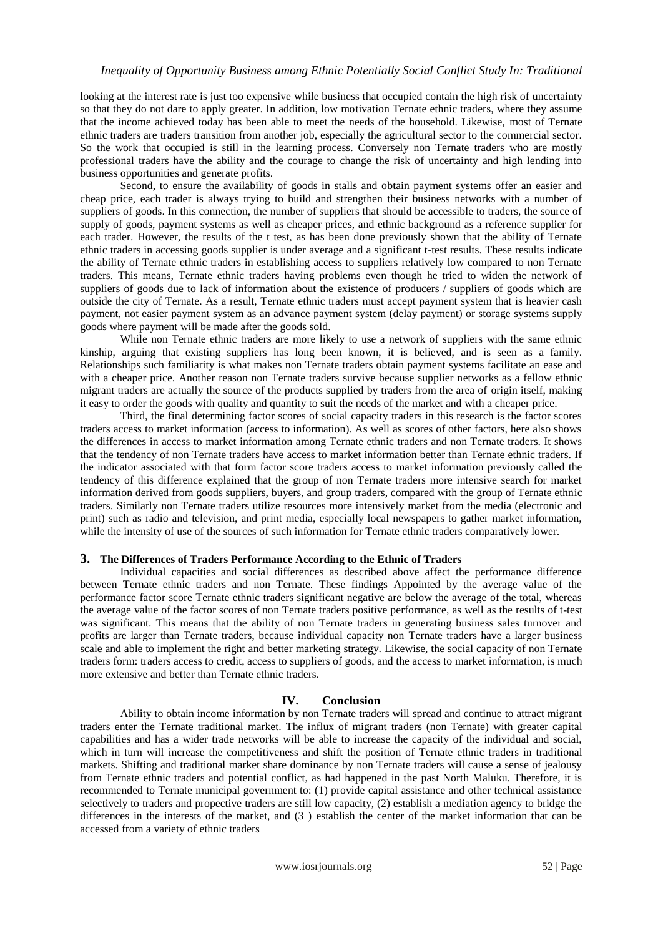looking at the interest rate is just too expensive while business that occupied contain the high risk of uncertainty so that they do not dare to apply greater. In addition, low motivation Ternate ethnic traders, where they assume that the income achieved today has been able to meet the needs of the household. Likewise, most of Ternate ethnic traders are traders transition from another job, especially the agricultural sector to the commercial sector. So the work that occupied is still in the learning process. Conversely non Ternate traders who are mostly professional traders have the ability and the courage to change the risk of uncertainty and high lending into business opportunities and generate profits.

Second, to ensure the availability of goods in stalls and obtain payment systems offer an easier and cheap price, each trader is always trying to build and strengthen their business networks with a number of suppliers of goods. In this connection, the number of suppliers that should be accessible to traders, the source of supply of goods, payment systems as well as cheaper prices, and ethnic background as a reference supplier for each trader. However, the results of the t test, as has been done previously shown that the ability of Ternate ethnic traders in accessing goods supplier is under average and a significant t-test results. These results indicate the ability of Ternate ethnic traders in establishing access to suppliers relatively low compared to non Ternate traders. This means, Ternate ethnic traders having problems even though he tried to widen the network of suppliers of goods due to lack of information about the existence of producers / suppliers of goods which are outside the city of Ternate. As a result, Ternate ethnic traders must accept payment system that is heavier cash payment, not easier payment system as an advance payment system (delay payment) or storage systems supply goods where payment will be made after the goods sold.

While non Ternate ethnic traders are more likely to use a network of suppliers with the same ethnic kinship, arguing that existing suppliers has long been known, it is believed, and is seen as a family. Relationships such familiarity is what makes non Ternate traders obtain payment systems facilitate an ease and with a cheaper price. Another reason non Ternate traders survive because supplier networks as a fellow ethnic migrant traders are actually the source of the products supplied by traders from the area of origin itself, making it easy to order the goods with quality and quantity to suit the needs of the market and with a cheaper price.

Third, the final determining factor scores of social capacity traders in this research is the factor scores traders access to market information (access to information). As well as scores of other factors, here also shows the differences in access to market information among Ternate ethnic traders and non Ternate traders. It shows that the tendency of non Ternate traders have access to market information better than Ternate ethnic traders. If the indicator associated with that form factor score traders access to market information previously called the tendency of this difference explained that the group of non Ternate traders more intensive search for market information derived from goods suppliers, buyers, and group traders, compared with the group of Ternate ethnic traders. Similarly non Ternate traders utilize resources more intensively market from the media (electronic and print) such as radio and television, and print media, especially local newspapers to gather market information, while the intensity of use of the sources of such information for Ternate ethnic traders comparatively lower.

### **3. The Differences of Traders Performance According to the Ethnic of Traders**

Individual capacities and social differences as described above affect the performance difference between Ternate ethnic traders and non Ternate. These findings Appointed by the average value of the performance factor score Ternate ethnic traders significant negative are below the average of the total, whereas the average value of the factor scores of non Ternate traders positive performance, as well as the results of t-test was significant. This means that the ability of non Ternate traders in generating business sales turnover and profits are larger than Ternate traders, because individual capacity non Ternate traders have a larger business scale and able to implement the right and better marketing strategy. Likewise, the social capacity of non Ternate traders form: traders access to credit, access to suppliers of goods, and the access to market information, is much more extensive and better than Ternate ethnic traders.

### **IV. Conclusion**

Ability to obtain income information by non Ternate traders will spread and continue to attract migrant traders enter the Ternate traditional market. The influx of migrant traders (non Ternate) with greater capital capabilities and has a wider trade networks will be able to increase the capacity of the individual and social, which in turn will increase the competitiveness and shift the position of Ternate ethnic traders in traditional markets. Shifting and traditional market share dominance by non Ternate traders will cause a sense of jealousy from Ternate ethnic traders and potential conflict, as had happened in the past North Maluku. Therefore, it is recommended to Ternate municipal government to: (1) provide capital assistance and other technical assistance selectively to traders and propective traders are still low capacity, (2) establish a mediation agency to bridge the differences in the interests of the market, and (3 ) establish the center of the market information that can be accessed from a variety of ethnic traders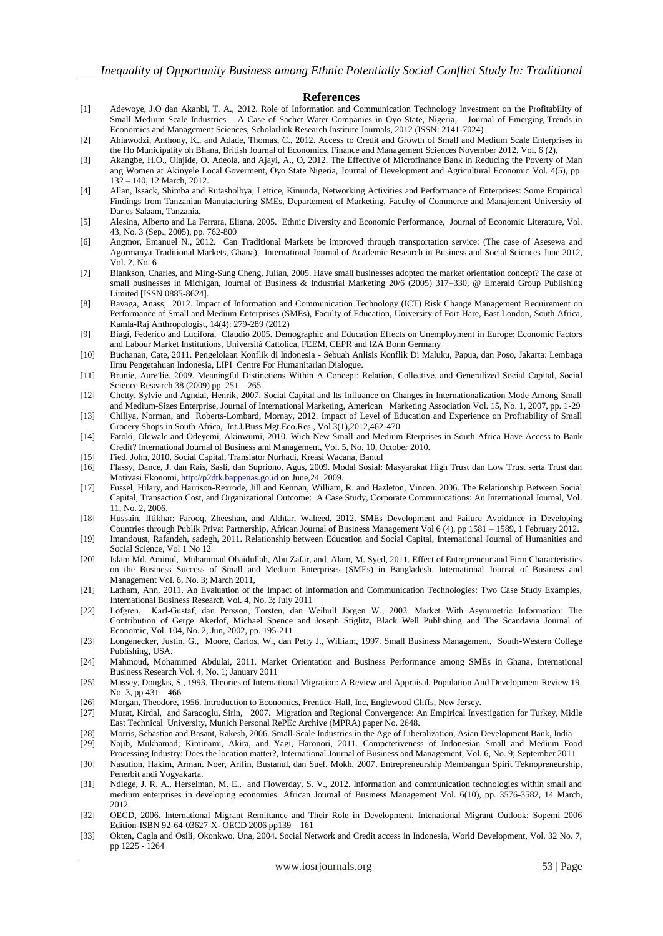#### **References**

- [1] Adewoye, J.O dan Akanbi, T. A., 2012. Role of Information and Communication Technology Investment on the Profitability of Small Medium Scale Industries – A Case of Sachet Water Companies in Oyo State, Nigeria, Journal of Emerging Trends in Economics and Management Sciences, Scholarlink Research Institute Journals, 2012 (ISSN: 2141-7024)
- [2] Ahiawodzi, Anthony, K., and Adade, Thomas, C., 2012. Access to Credit and Growth of Small and Medium Scale Enterprises in the Ho Municipality oh Bhana, British Journal of Economics, Finance and Management Sciences November 2012, Vol. 6 (2).
- [3] Akangbe, H.O., Olajide, O. Adeola, and Ajayi, A., O, 2012. The Effective of Microfinance Bank in Reducing the Poverty of Man ang Women at Akinyele Local Goverment, Oyo State Nigeria, Journal of Development and Agricultural Economic Vol. 4(5), pp. 132 – 140, 12 March, 2012.
- [4] Allan, Issack, Shimba and Rutasholbya, Lettice, Kinunda, Networking Activities and Performance of Enterprises: Some Empirical Findings from Tanzanian Manufacturing SMEs, Departement of Marketing, Faculty of Commerce and Manajement University of Dar es Salaam, Tanzania.
- [5] Alesina, Alberto and La Ferrara, Eliana, 2005. Ethnic Diversity and Economic Performance, Journal of Economic Literature, Vol. 43, No. 3 (Sep., 2005), pp. 762-800
- [6] Angmor, Emanuel N., 2012. Can Traditional Markets be improved through transportation service: (The case of Asesewa and Agormanya Traditional Markets, Ghana), International Journal of Academic Research in Business and Social Sciences June 2012, Vol. 2, No. 6
- [7] Blankson, Charles, and Ming-Sung Cheng, Julian, 2005. Have small businesses adopted the market orientation concept? The case of small businesses in Michigan, Journal of Business & Industrial Marketing 20/6 (2005) 317–330, @ Emerald Group Publishing Limited [ISSN 0885-8624].
- [8] Bayaga, Anass, 2012. Impact of Information and Communication Technology (ICT) Risk Change Management Requirement on Performance of Small and Medium Enterprises (SMEs), Faculty of Education, University of Fort Hare, East London, South Africa, Kamla-Raj Anthropologist, 14(4): 279-289 (2012)
- [9] Biagi, Federico and Lucifora, Claudio 2005. Demographic and Education Effects on Unemployment in Europe: Economic Factors and Labour Market Institutions, Università Cattolica, FEEM, CEPR and IZA Bonn Germany
- [10] Buchanan, Cate, 2011. Pengelolaan Konflik di Indonesia Sebuah Anlisis Konflik Di Maluku, Papua, dan Poso, Jakarta: Lembaga Ilmu Pengetahuan Indonesia, LIPI Centre For Humanitarian Dialogue.
- [11] Brunie, Aure′lie, 2009. Meaningful Distinctions Within A Concept: Relation, Collective, and Generalized Social Capital, Social Science Research 38 (2009) pp. 251 – 265.
- [12] Chetty, Sylvie and Agndal, Henrik, 2007. Social Capital and Its Influance on Changes in Internationalization Mode Among Small and Medium-Sizes Enterprise, Journal of International Marketing, American Marketing Association Vol. 15, No. 1, 2007, pp. 1-29
- [13] Chiliya, Norman, and Roberts-Lombard, Mornay, 2012. Impact of Level of Education and Experience on Profitability of Small Grocery Shops in South Africa, Int.J.Buss.Mgt.Eco.Res., Vol 3(1),2012,462-470
- [14] Fatoki, Olewale and Odeyemi, Akinwumi, 2010. Wich New Small and Medium Eterprises in South Africa Have Access to Bank Credit? International Journal of Business and Management, Vol. 5, No. 10, October 2010.
- [15] Fied, John, 2010. Social Capital, Translator Nurhadi, Kreasi Wacana, Bantul
- [16] Flassy, Dance, J. dan Rais, Sasli, dan Supriono, Agus, 2009. Modal Sosial: Masyarakat High Trust dan Low Trust serta Trust dan Motivasi Ekonomi, [http://p2dtk.bappenas.go.id](http://p2dtk.bappenas.go.id/) on June,24 2009.
- [17] Fussel, Hilary, and Harrison-Rexrode, Jill and Kennan, William, R. and Hazleton, Vincen. 2006. The Relationship Between Social Capital, Transaction Cost, and Organizational Outcome: A Case Study, Corporate Communications: An International Journal, Vol. 11, No. 2, 2006.
- [18] Hussain, Iftikhar; Farooq, Zheeshan, and Akhtar, Waheed, 2012. SMEs Development and Failure Avoidance in Developing Countries through Publik Privat Partnership, African Journal of Business Management Vol 6 (4), pp 1581 – 1589, 1 February 2012.
- [19] Imandoust, Rafandeh, sadegh, 2011. Relationship between Education and Social Capital, International Journal of Humanities and Social Science, Vol 1 No 12
- [20] Islam Md. Aminul, Muhammad Obaidullah, Abu Zafar, and Alam, M. Syed, 2011. Effect of Entrepreneur and Firm Characteristics on the Business Success of Small and Medium Enterprises (SMEs) in Bangladesh, International Journal of Business and Management Vol. 6, No. 3; March 2011,
- [21] Latham, Ann, 2011. An Evaluation of the Impact of Information and Communication Technologies: Two Case Study Examples, International Business Research Vol. 4, No. 3; July 2011
- [22] Löfgren, Karl-Gustaf, dan Persson, Torsten, dan Weibull Jörgen W., 2002. Market With Asymmetric Information: The Contribution of Gerge Akerlof, Michael Spence and Joseph Stiglitz, Black Well Publishing and The Scandavia Journal of Economic, Vol. 104, No. 2, Jun, 2002, pp. 195-211
- [23] Longenecker, Justin, G., Moore, Carlos, W., dan Petty J., William, 1997. Small Business Management, South-Western College Publishing, USA.
- [24] Mahmoud, Mohammed Abdulai, 2011. Market Orientation and Business Performance among SMEs in Ghana, International Business Research Vol. 4, No. 1; January 2011
- [25] Massey, Douglas, S., 1993. Theories of International Migration: A Review and Appraisal, Population And Development Review 19, No. 3, pp 431 – 466
- [26] Morgan, Theodore, 1956. Introduction to Economics, Prentice-Hall, Inc, Englewood Cliffs, New Jersey.
- [27] Murat, Kirdal, and Saracoglu, Sirin, 2007. Migration and Regional Convergence: An Empirical Investigation for Turkey, Midle East Technical University, Munich Personal RePEc Archive (MPRA) paper No. 2648.
- [28] Morris, Sebastian and Basant, Rakesh, 2006. Small-Scale Industries in the Age of Liberalization, Asian Development Bank, India
- [29] Najib, Mukhamad; Kiminami, Akira, and Yagi, Haronori, 2011. Competetiveness of Indonesian Small and Medium Food Processing Industry: Does the location matter?, International Journal of Business and Management, Vol. 6, No. 9; September 2011
- [30] Nasution, Hakim, Arman. Noer, Arifin, Bustanul, dan Suef, Mokh, 2007. Entrepreneurship Membangun Spirit Teknopreneurship, Penerbit andi Yogyakarta.
- [31] Ndiege, J. R. A., Herselman, M. E., and Flowerday, S. V., 2012. Information and communication technologies within small and medium enterprises in developing economies. African Journal of Business Management Vol. 6(10), pp. 3576-3582, 14 March, 2012.
- [32] OECD, 2006. International Migrant Remittance and Their Role in Development, Intenational Migrant Outlook: Sopemi 2006 Edition-ISBN 92-64-03627-X- OECD 2006 pp139 – 161
- [33] Okten, Cagla and Osili, Okonkwo, Una, 2004. Social Network and Credit access in Indonesia, World Development, Vol. 32 No. 7, pp 1225 - 1264